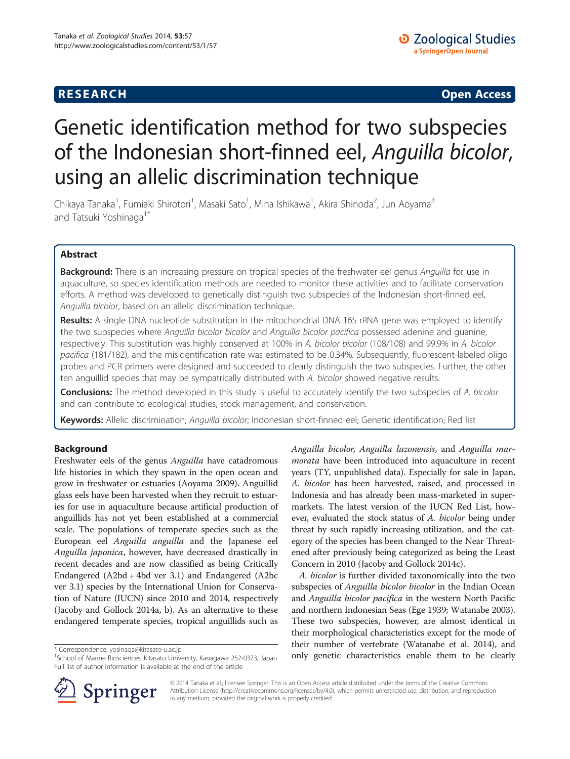# **RESEARCH CHILD CONTROL** CONTROL CONTROL CONTROL CONTROL CONTROL CONTROL CONTROL CONTROL CONTROL CONTROL CONTROL CONTROL CONTROL CONTROL CONTROL CONTROL CONTROL CONTROL CONTROL CONTROL CONTROL CONTROL CONTROL CONTROL CONTR

# Genetic identification method for two subspecies of the Indonesian short-finned eel, Anguilla bicolor, using an allelic discrimination technique

Chikaya Tanaka<sup>1</sup>, Fumiaki Shirotori<sup>1</sup>, Masaki Sato<sup>1</sup>, Mina Ishikawa<sup>1</sup>, Akira Shinoda<sup>2</sup>, Jun Aoyama<sup>3</sup> and Tatsuki Yoshinaga<sup>1\*</sup>

# Abstract

Background: There is an increasing pressure on tropical species of the freshwater eel genus Anguilla for use in aquaculture, so species identification methods are needed to monitor these activities and to facilitate conservation efforts. A method was developed to genetically distinguish two subspecies of the Indonesian short-finned eel, Anguilla bicolor, based on an allelic discrimination technique.

Results: A single DNA nucleotide substitution in the mitochondrial DNA 16S rRNA gene was employed to identify the two subspecies where Anguilla bicolor bicolor and Anguilla bicolor pacifica possessed adenine and guanine, respectively. This substitution was highly conserved at 100% in A. bicolor bicolor (108/108) and 99.9% in A. bicolor pacifica (181/182), and the misidentification rate was estimated to be 0.34%. Subsequently, fluorescent-labeled oligo probes and PCR primers were designed and succeeded to clearly distinguish the two subspecies. Further, the other ten anguillid species that may be sympatrically distributed with A. bicolor showed negative results.

Conclusions: The method developed in this study is useful to accurately identify the two subspecies of A. bicolor and can contribute to ecological studies, stock management, and conservation.

Keywords: Allelic discrimination; Anguilla bicolor; Indonesian short-finned eel; Genetic identification; Red list

## Background

Freshwater eels of the genus Anguilla have catadromous life histories in which they spawn in the open ocean and grow in freshwater or estuaries (Aoyama [2009\)](#page-6-0). Anguillid glass eels have been harvested when they recruit to estuaries for use in aquaculture because artificial production of anguillids has not yet been established at a commercial scale. The populations of temperate species such as the European eel Anguilla anguilla and the Japanese eel Anguilla japonica, however, have decreased drastically in recent decades and are now classified as being Critically Endangered (A2bd + 4bd ver 3.1) and Endangered (A2bc ver 3.1) species by the International Union for Conservation of Nature (IUCN) since 2010 and 2014, respectively (Jacoby and Gollock [2014a](#page-6-0), [b](#page-6-0)). As an alternative to these endangered temperate species, tropical anguillids such as



A. bicolor is further divided taxonomically into the two subspecies of Anguilla bicolor bicolor in the Indian Ocean and Anguilla bicolor pacifica in the western North Pacific and northern Indonesian Seas (Ege [1939](#page-6-0); Watanabe [2003](#page-6-0)). These two subspecies, however, are almost identical in their morphological characteristics except for the mode of their number of vertebrate (Watanabe et al. [2014](#page-6-0)), and \* Correspondence: [yosinaga@kitasato-u.ac.jp](mailto:yosinaga@kitasato-u.ac.jp)<br><sup>1</sup>School of Marine Biosciences, Kitasato University, Kanagawa 252-0373, Japan **1980 only genetic characteristics enable them to be clearly** 



© 2014 Tanaka et al.; licensee Springer. This is an Open Access article distributed under the terms of the Creative Commons Attribution License [\(http://creativecommons.org/licenses/by/4.0\)](http://creativecommons.org/licenses/by/4.0), which permits unrestricted use, distribution, and reproduction in any medium, provided the original work is properly credited.

<sup>&</sup>lt;sup>1</sup> School of Marine Biosciences, Kitasato University, Kanagawa 252-0373, Japan Full list of author information is available at the end of the article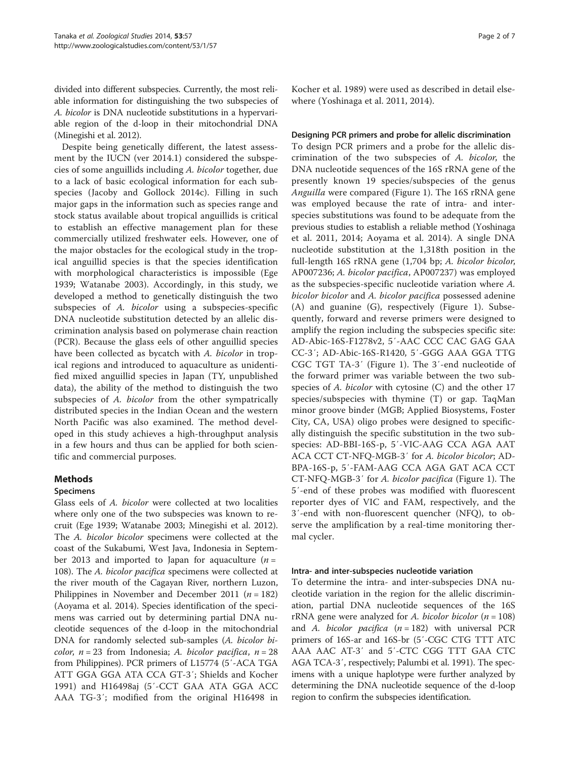divided into different subspecies. Currently, the most reliable information for distinguishing the two subspecies of A. bicolor is DNA nucleotide substitutions in a hypervariable region of the d-loop in their mitochondrial DNA (Minegishi et al. [2012\)](#page-6-0).

Despite being genetically different, the latest assessment by the IUCN (ver 2014.1) considered the subspecies of some anguillids including A. bicolor together, due to a lack of basic ecological information for each subspecies (Jacoby and Gollock [2014c](#page-6-0)). Filling in such major gaps in the information such as species range and stock status available about tropical anguillids is critical to establish an effective management plan for these commercially utilized freshwater eels. However, one of the major obstacles for the ecological study in the tropical anguillid species is that the species identification with morphological characteristics is impossible (Ege [1939;](#page-6-0) Watanabe [2003](#page-6-0)). Accordingly, in this study, we developed a method to genetically distinguish the two subspecies of A. bicolor using a subspecies-specific DNA nucleotide substitution detected by an allelic discrimination analysis based on polymerase chain reaction (PCR). Because the glass eels of other anguillid species have been collected as bycatch with A. bicolor in tropical regions and introduced to aquaculture as unidentified mixed anguillid species in Japan (TY, unpublished data), the ability of the method to distinguish the two subspecies of A. bicolor from the other sympatrically distributed species in the Indian Ocean and the western North Pacific was also examined. The method developed in this study achieves a high-throughput analysis in a few hours and thus can be applied for both scientific and commercial purposes.

# Methods

## Specimens

Glass eels of A. bicolor were collected at two localities where only one of the two subspecies was known to recruit (Ege [1939;](#page-6-0) Watanabe [2003](#page-6-0); Minegishi et al. [2012](#page-6-0)). The A. bicolor bicolor specimens were collected at the coast of the Sukabumi, West Java, Indonesia in September 2013 and imported to Japan for aquaculture ( $n =$ 108). The *A. bicolor pacifica* specimens were collected at the river mouth of the Cagayan River, northern Luzon, Philippines in November and December 2011 ( $n = 182$ ) (Aoyama et al. [2014\)](#page-6-0). Species identification of the specimens was carried out by determining partial DNA nucleotide sequences of the d-loop in the mitochondrial DNA for randomly selected sub-samples (A. bicolor bi*color, n* = 23 from Indonesia; A. *bicolor pacifica*,  $n = 28$ from Philippines). PCR primers of L15774 (5′-ACA TGA ATT GGA GGA ATA CCA GT-3′; Shields and Kocher [1991\)](#page-6-0) and H16498aj (5′-CCT GAA ATA GGA ACC AAA TG-3′; modified from the original H16498 in Kocher et al. [1989\)](#page-6-0) were used as described in detail elsewhere (Yoshinaga et al. [2011, 2014\)](#page-6-0).

# Designing PCR primers and probe for allelic discrimination

To design PCR primers and a probe for the allelic discrimination of the two subspecies of A. bicolor, the DNA nucleotide sequences of the 16S rRNA gene of the presently known 19 species/subspecies of the genus Anguilla were compared (Figure [1\)](#page-2-0). The 16S rRNA gene was employed because the rate of intra- and interspecies substitutions was found to be adequate from the previous studies to establish a reliable method (Yoshinaga et al. [2011](#page-6-0), [2014;](#page-6-0) Aoyama et al. [2014](#page-6-0)). A single DNA nucleotide substitution at the 1,318th position in the full-length 16S rRNA gene (1,704 bp; A. bicolor bicolor, AP007236; A. bicolor pacifica, AP007237) was employed as the subspecies-specific nucleotide variation where A. bicolor bicolor and A. bicolor pacifica possessed adenine (A) and guanine (G), respectively (Figure [1\)](#page-2-0). Subsequently, forward and reverse primers were designed to amplify the region including the subspecies specific site: AD-Abic-16S-F1278v2, 5′-AAC CCC CAC GAG GAA CC-3′; AD-Abic-16S-R1420, 5′-GGG AAA GGA TTG CGC TGT TA-3′ (Figure [1](#page-2-0)). The 3′-end nucleotide of the forward primer was variable between the two subspecies of A. bicolor with cytosine (C) and the other 17 species/subspecies with thymine (T) or gap. TaqMan minor groove binder (MGB; Applied Biosystems, Foster City, CA, USA) oligo probes were designed to specifically distinguish the specific substitution in the two subspecies: AD-BBI-16S-p, 5′-VIC-AAG CCA AGA AAT ACA CCT CT-NFQ-MGB-3′ for A. bicolor bicolor; AD-BPA-16S-p, 5′-FAM-AAG CCA AGA GAT ACA CCT CT-NFQ-MGB-3′ for A. bicolor pacifica (Figure [1\)](#page-2-0). The 5′-end of these probes was modified with fluorescent reporter dyes of VIC and FAM, respectively, and the 3′-end with non-fluorescent quencher (NFQ), to observe the amplification by a real-time monitoring thermal cycler.

## Intra- and inter-subspecies nucleotide variation

To determine the intra- and inter-subspecies DNA nucleotide variation in the region for the allelic discrimination, partial DNA nucleotide sequences of the 16S rRNA gene were analyzed for A. bicolor bicolor  $(n = 108)$ and A. bicolor pacifica  $(n = 182)$  with universal PCR primers of 16S-ar and 16S-br (5′-CGC CTG TTT ATC AAA AAC AT-3′ and 5′-CTC CGG TTT GAA CTC AGA TCA-3′, respectively; Palumbi et al. [1991](#page-6-0)). The specimens with a unique haplotype were further analyzed by determining the DNA nucleotide sequence of the d-loop region to confirm the subspecies identification.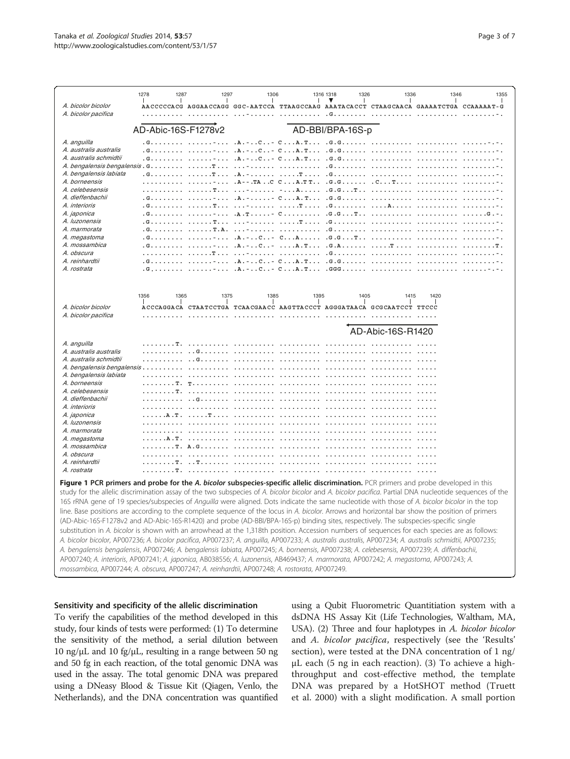<span id="page-2-0"></span>

# Sensitivity and specificity of the allelic discrimination

To verify the capabilities of the method developed in this study, four kinds of tests were performed: (1) To determine the sensitivity of the method, a serial dilution between 10 ng/μL and 10 fg/μL, resulting in a range between 50 ng and 50 fg in each reaction, of the total genomic DNA was used in the assay. The total genomic DNA was prepared using a DNeasy Blood & Tissue Kit (Qiagen, Venlo, the Netherlands), and the DNA concentration was quantified

using a Qubit Fluorometric Quantitiation system with a dsDNA HS Assay Kit (Life Technologies, Waltham, MA, USA). (2) Three and four haplotypes in A. bicolor bicolor and A. bicolor pacifica, respectively (see the '[Results](#page-3-0)' section), were tested at the DNA concentration of 1 ng/ μL each (5 ng in each reaction). (3) To achieve a highthroughput and cost-effective method, the template DNA was prepared by a HotSHOT method (Truett et al. [2000](#page-6-0)) with a slight modification. A small portion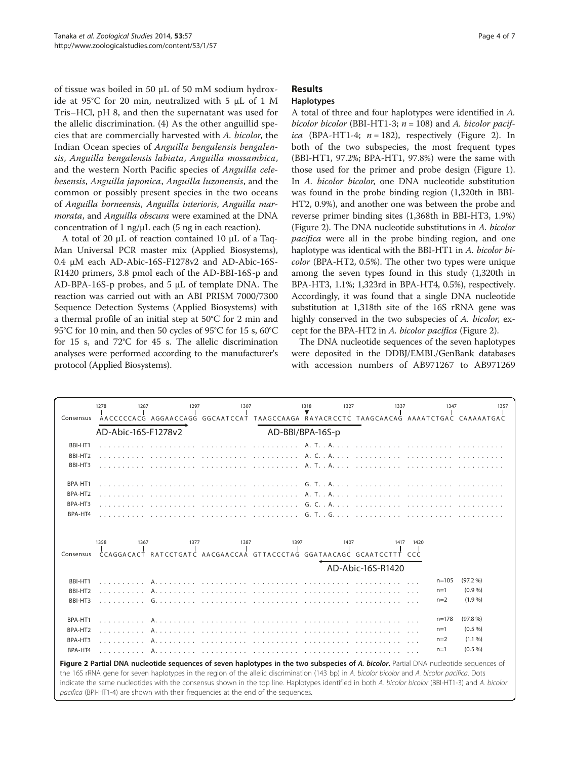<span id="page-3-0"></span>of tissue was boiled in 50 μL of 50 mM sodium hydroxide at 95°C for 20 min, neutralized with 5 μL of 1 M Tris–HCl, pH 8, and then the supernatant was used for the allelic discrimination. (4) As the other anguillid species that are commercially harvested with A. bicolor, the Indian Ocean species of Anguilla bengalensis bengalensis, Anguilla bengalensis labiata, Anguilla mossambica, and the western North Pacific species of Anguilla celebesensis, Anguilla japonica, Anguilla luzonensis, and the common or possibly present species in the two oceans of Anguilla borneensis, Anguilla interioris, Anguilla marmorata, and Anguilla obscura were examined at the DNA concentration of 1 ng/ $\mu$ L each (5 ng in each reaction).

A total of 20 μL of reaction contained 10 μL of a Taq-Man Universal PCR master mix (Applied Biosystems), 0.4 μM each AD-Abic-16S-F1278v2 and AD-Abic-16S-R1420 primers, 3.8 pmol each of the AD-BBI-16S-p and AD-BPA-16S-p probes, and 5 μL of template DNA. The reaction was carried out with an ABI PRISM 7000/7300 Sequence Detection Systems (Applied Biosystems) with a thermal profile of an initial step at 50°C for 2 min and 95°C for 10 min, and then 50 cycles of 95°C for 15 s, 60°C for 15 s, and 72°C for 45 s. The allelic discrimination analyses were performed according to the manufacturer's protocol (Applied Biosystems).

# Results

## Haplotypes

A total of three and four haplotypes were identified in A. bicolor bicolor (BBI-HT1-3;  $n = 108$ ) and A. bicolor pacifica (BPA-HT1-4;  $n = 182$ ), respectively (Figure 2). In both of the two subspecies, the most frequent types (BBI-HT1, 97.2%; BPA-HT1, 97.8%) were the same with those used for the primer and probe design (Figure [1](#page-2-0)). In A. bicolor bicolor, one DNA nucleotide substitution was found in the probe binding region (1,320th in BBI-HT2, 0.9%), and another one was between the probe and reverse primer binding sites (1,368th in BBI-HT3, 1.9%) (Figure 2). The DNA nucleotide substitutions in A. bicolor pacifica were all in the probe binding region, and one haplotype was identical with the BBI-HT1 in A. bicolor bicolor (BPA-HT2, 0.5%). The other two types were unique among the seven types found in this study (1,320th in BPA-HT3, 1.1%; 1,323rd in BPA-HT4, 0.5%), respectively. Accordingly, it was found that a single DNA nucleotide substitution at 1,318th site of the 16S rRNA gene was highly conserved in the two subspecies of A. bicolor, except for the BPA-HT2 in A. bicolor pacifica (Figure 2).

The DNA nucleotide sequences of the seven haplotypes were deposited in the DDBJ/EMBL/GenBank databases with accession numbers of AB971267 to AB971269

| Consensus                                                                                                                                                                                                                                                                                                                                                                                                                                                                                                                              | 1278<br>1287 | 1297<br>AACCCCCACG AGGAACCAGG GGCAATCCAT TAAGCCAAGA RAYACRCCTC TAAGCAACAG AAAATCTGAC CAAAAATGAC | 1307 |  | 1318<br>1327 | 1337 | 1347                                 | 1357                                       |
|----------------------------------------------------------------------------------------------------------------------------------------------------------------------------------------------------------------------------------------------------------------------------------------------------------------------------------------------------------------------------------------------------------------------------------------------------------------------------------------------------------------------------------------|--------------|-------------------------------------------------------------------------------------------------|------|--|--------------|------|--------------------------------------|--------------------------------------------|
| AD-Abic-16S-F1278v2<br>AD-BBI/BPA-16S-p                                                                                                                                                                                                                                                                                                                                                                                                                                                                                                |              |                                                                                                 |      |  |              |      |                                      |                                            |
| BBI-HT1<br>BBI-HT2<br>BBI-HT3                                                                                                                                                                                                                                                                                                                                                                                                                                                                                                          |              |                                                                                                 |      |  |              |      |                                      |                                            |
| BPA-HT1<br>BPA-HT2<br>BPA-HT3<br>BPA-HT4                                                                                                                                                                                                                                                                                                                                                                                                                                                                                               |              |                                                                                                 |      |  |              |      |                                      |                                            |
| 1358<br>1367<br>1377<br>1387<br>1397<br>1407<br>1420<br>1417<br>CCAGGACACT RATCCTGATC AACGAACCAA GTTACCCTAG GGATAACAGC GCAATCCTTT CCC<br>Consensus<br>AD-Abic-16S-R1420                                                                                                                                                                                                                                                                                                                                                                |              |                                                                                                 |      |  |              |      |                                      |                                            |
| BBI-HT1<br>BBI-HT2<br>BBI-HT3                                                                                                                                                                                                                                                                                                                                                                                                                                                                                                          |              |                                                                                                 |      |  |              |      | $n = 105$<br>$n=1$<br>$n=2$          | (97.2 %)<br>(0.9 %)<br>$(1.9\%)$           |
| BPA-HT1<br>BPA-HT2<br>BPA-HT3<br>BPA-HT4                                                                                                                                                                                                                                                                                                                                                                                                                                                                                               |              |                                                                                                 |      |  |              |      | $n = 178$<br>$n=1$<br>$n=2$<br>$n=1$ | (97.8%<br>(0.5 %)<br>$(1.1\% )$<br>(0.5 %) |
| Figure 2 Partial DNA nucleotide sequences of seven haplotypes in the two subspecies of A. bicolor. Partial DNA nucleotide sequences of<br>the 16S rRNA gene for seven haplotypes in the region of the allelic discrimination (143 bp) in A. bicolor bicolor and A. bicolor pacifica. Dots<br>indicate the same nucleotides with the consensus shown in the top line. Haplotypes identified in both A. bicolor bicolor (BBI-HT1-3) and A. bicolor<br>pacifica (BPI-HT1-4) are shown with their frequencies at the end of the sequences. |              |                                                                                                 |      |  |              |      |                                      |                                            |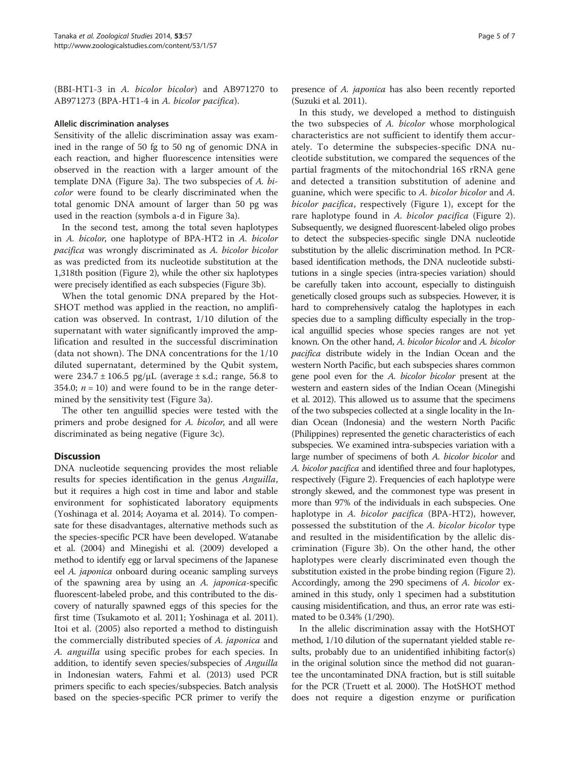(BBI-HT1-3 in A. bicolor bicolor) and AB971270 to AB971273 (BPA-HT1-4 in A. bicolor pacifica).

#### Allelic discrimination analyses

Sensitivity of the allelic discrimination assay was examined in the range of 50 fg to 50 ng of genomic DNA in each reaction, and higher fluorescence intensities were observed in the reaction with a larger amount of the template DNA (Figure [3](#page-5-0)a). The two subspecies of A. bicolor were found to be clearly discriminated when the total genomic DNA amount of larger than 50 pg was used in the reaction (symbols a-d in Figure [3a](#page-5-0)).

In the second test, among the total seven haplotypes in A. bicolor, one haplotype of BPA-HT2 in A. bicolor pacifica was wrongly discriminated as A. bicolor bicolor as was predicted from its nucleotide substitution at the 1,318th position (Figure [2](#page-3-0)), while the other six haplotypes were precisely identified as each subspecies (Figure [3b](#page-5-0)).

When the total genomic DNA prepared by the Hot-SHOT method was applied in the reaction, no amplification was observed. In contrast, 1/10 dilution of the supernatant with water significantly improved the amplification and resulted in the successful discrimination (data not shown). The DNA concentrations for the 1/10 diluted supernatant, determined by the Qubit system, were  $234.7 \pm 106.5$  pg/ $\mu$ L (average  $\pm$  s.d.; range, 56.8 to 354.0;  $n = 10$ ) and were found to be in the range determined by the sensitivity test (Figure [3](#page-5-0)a).

The other ten anguillid species were tested with the primers and probe designed for A. bicolor, and all were discriminated as being negative (Figure [3c](#page-5-0)).

# **Discussion**

DNA nucleotide sequencing provides the most reliable results for species identification in the genus Anguilla, but it requires a high cost in time and labor and stable environment for sophisticated laboratory equipments (Yoshinaga et al. [2014](#page-6-0); Aoyama et al. [2014](#page-6-0)). To compensate for these disadvantages, alternative methods such as the species-specific PCR have been developed. Watanabe et al. [\(2004\)](#page-6-0) and Minegishi et al. [\(2009](#page-6-0)) developed a method to identify egg or larval specimens of the Japanese eel A. japonica onboard during oceanic sampling surveys of the spawning area by using an A. japonica-specific fluorescent-labeled probe, and this contributed to the discovery of naturally spawned eggs of this species for the first time (Tsukamoto et al. [2011](#page-6-0); Yoshinaga et al. [2011](#page-6-0)). Itoi et al. ([2005\)](#page-6-0) also reported a method to distinguish the commercially distributed species of A. japonica and A. anguilla using specific probes for each species. In addition, to identify seven species/subspecies of Anguilla in Indonesian waters, Fahmi et al. [\(2013](#page-6-0)) used PCR primers specific to each species/subspecies. Batch analysis based on the species-specific PCR primer to verify the presence of A. *japonica* has also been recently reported (Suzuki et al. [2011](#page-6-0)).

In this study, we developed a method to distinguish the two subspecies of A. bicolor whose morphological characteristics are not sufficient to identify them accurately. To determine the subspecies-specific DNA nucleotide substitution, we compared the sequences of the partial fragments of the mitochondrial 16S rRNA gene and detected a transition substitution of adenine and guanine, which were specific to A. bicolor bicolor and A. bicolor pacifica, respectively (Figure [1](#page-2-0)), except for the rare haplotype found in A. bicolor pacifica (Figure [2](#page-3-0)). Subsequently, we designed fluorescent-labeled oligo probes to detect the subspecies-specific single DNA nucleotide substitution by the allelic discrimination method. In PCRbased identification methods, the DNA nucleotide substitutions in a single species (intra-species variation) should be carefully taken into account, especially to distinguish genetically closed groups such as subspecies. However, it is hard to comprehensively catalog the haplotypes in each species due to a sampling difficulty especially in the tropical anguillid species whose species ranges are not yet known. On the other hand, A. bicolor bicolor and A. bicolor pacifica distribute widely in the Indian Ocean and the western North Pacific, but each subspecies shares common gene pool even for the A. bicolor bicolor present at the western and eastern sides of the Indian Ocean (Minegishi et al. [2012](#page-6-0)). This allowed us to assume that the specimens of the two subspecies collected at a single locality in the Indian Ocean (Indonesia) and the western North Pacific (Philippines) represented the genetic characteristics of each subspecies. We examined intra-subspecies variation with a large number of specimens of both A. bicolor bicolor and A. bicolor pacifica and identified three and four haplotypes, respectively (Figure [2](#page-3-0)). Frequencies of each haplotype were strongly skewed, and the commonest type was present in more than 97% of the individuals in each subspecies. One haplotype in A. bicolor pacifica (BPA-HT2), however, possessed the substitution of the A. bicolor bicolor type and resulted in the misidentification by the allelic discrimination (Figure [3](#page-5-0)b). On the other hand, the other haplotypes were clearly discriminated even though the substitution existed in the probe binding region (Figure [2](#page-3-0)). Accordingly, among the 290 specimens of A. bicolor examined in this study, only 1 specimen had a substitution causing misidentification, and thus, an error rate was estimated to be 0.34% (1/290).

In the allelic discrimination assay with the HotSHOT method, 1/10 dilution of the supernatant yielded stable results, probably due to an unidentified inhibiting factor(s) in the original solution since the method did not guarantee the uncontaminated DNA fraction, but is still suitable for the PCR (Truett et al. [2000](#page-6-0)). The HotSHOT method does not require a digestion enzyme or purification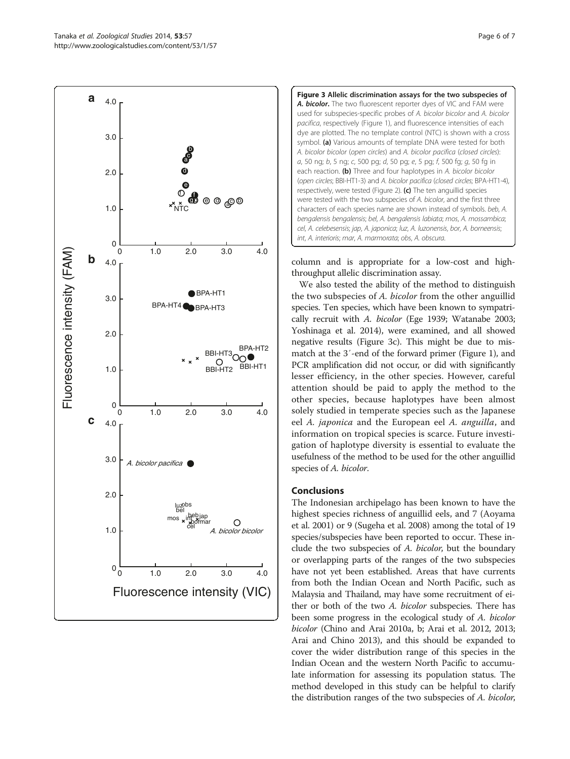<span id="page-5-0"></span>



column and is appropriate for a low-cost and highthroughput allelic discrimination assay.

We also tested the ability of the method to distinguish the two subspecies of A. bicolor from the other anguillid species. Ten species, which have been known to sympatrically recruit with A. bicolor (Ege [1939;](#page-6-0) Watanabe [2003](#page-6-0); Yoshinaga et al. [2014\)](#page-6-0), were examined, and all showed negative results (Figure 3c). This might be due to mismatch at the 3′-end of the forward primer (Figure [1\)](#page-2-0), and PCR amplification did not occur, or did with significantly lesser efficiency, in the other species. However, careful attention should be paid to apply the method to the other species, because haplotypes have been almost solely studied in temperate species such as the Japanese eel A. japonica and the European eel A. anguilla, and information on tropical species is scarce. Future investigation of haplotype diversity is essential to evaluate the usefulness of the method to be used for the other anguillid species of A. bicolor.

# Conclusions

The Indonesian archipelago has been known to have the highest species richness of anguillid eels, and 7 (Aoyama et al. [2001\)](#page-6-0) or 9 (Sugeha et al. [2008](#page-6-0)) among the total of 19 species/subspecies have been reported to occur. These include the two subspecies of A. bicolor, but the boundary or overlapping parts of the ranges of the two subspecies have not yet been established. Areas that have currents from both the Indian Ocean and North Pacific, such as Malaysia and Thailand, may have some recruitment of either or both of the two A. bicolor subspecies. There has been some progress in the ecological study of A. bicolor bicolor (Chino and Arai [2010a](#page-6-0), [b](#page-6-0); Arai et al. [2012](#page-6-0), [2013](#page-6-0); Arai and Chino [2013](#page-6-0)), and this should be expanded to cover the wider distribution range of this species in the Indian Ocean and the western North Pacific to accumulate information for assessing its population status. The method developed in this study can be helpful to clarify the distribution ranges of the two subspecies of A. bicolor,